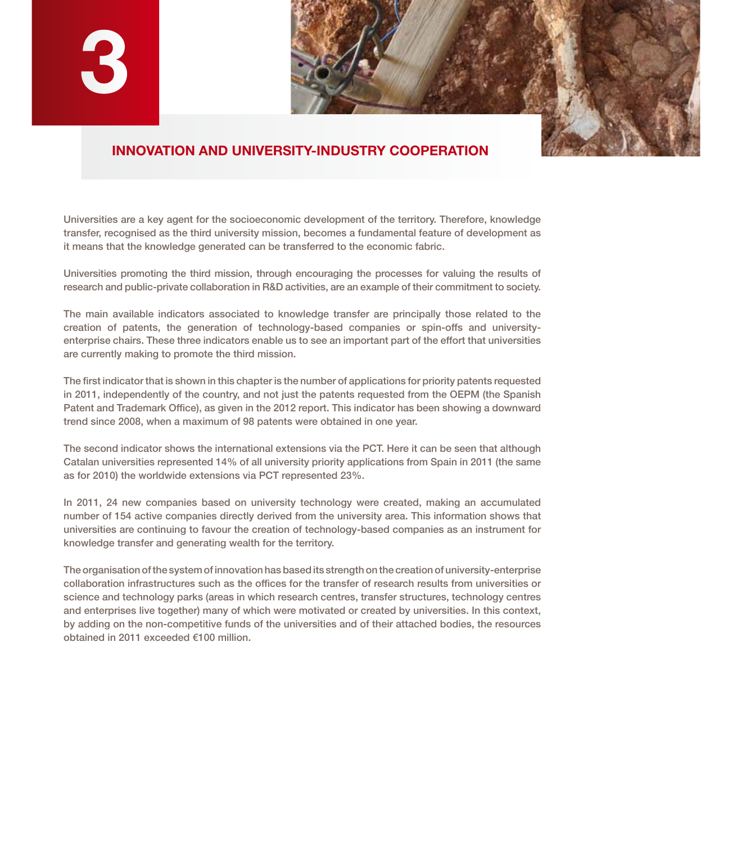

## **INNOVATION AND UNIVERSITY-INDUSTRY COOPERATION**

Universities are a key agent for the socioeconomic development of the territory. Therefore, knowledge transfer, recognised as the third university mission, becomes a fundamental feature of development as it means that the knowledge generated can be transferred to the economic fabric.

Universities promoting the third mission, through encouraging the processes for valuing the results of research and public-private collaboration in R&D activities, are an example of their commitment to society.

The main available indicators associated to knowledge transfer are principally those related to the creation of patents, the generation of technology-based companies or spin-offs and universityenterprise chairs. These three indicators enable us to see an important part of the effort that universities are currently making to promote the third mission.

The first indicator that is shown in this chapter is the number of applications for priority patents requested in 2011, independently of the country, and not just the patents requested from the OEPM (the Spanish Patent and Trademark Office), as given in the 2012 report. This indicator has been showing a downward trend since 2008, when a maximum of 98 patents were obtained in one year.

The second indicator shows the international extensions via the PCT. Here it can be seen that although Catalan universities represented 14% of all university priority applications from Spain in 2011 (the same as for 2010) the worldwide extensions via PCT represented 23%.

In 2011, 24 new companies based on university technology were created, making an accumulated number of 154 active companies directly derived from the university area. This information shows that universities are continuing to favour the creation of technology-based companies as an instrument for knowledge transfer and generating wealth for the territory.

The organisation of the system of innovation has based its strength on the creation of university-enterprise collaboration infrastructures such as the offices for the transfer of research results from universities or science and technology parks (areas in which research centres, transfer structures, technology centres and enterprises live together) many of which were motivated or created by universities. In this context, by adding on the non-competitive funds of the universities and of their attached bodies, the resources obtained in 2011 exceeded €100 million.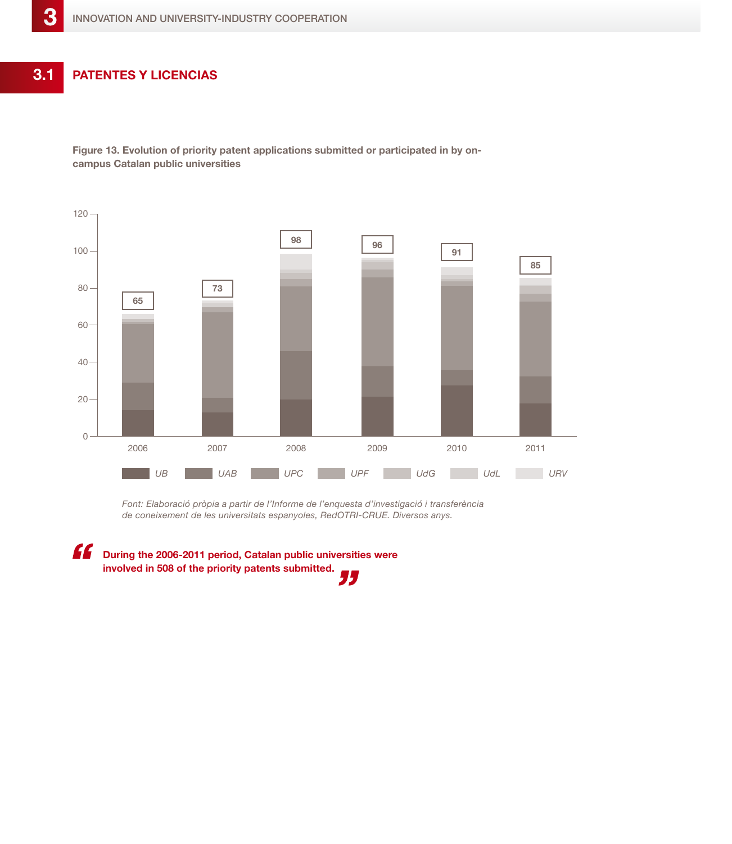**Patentes y licencias 3.1**

> **Figure 13. Evolution of priority patent applications submitted or participated in by oncampus Catalan public universities**



*Font: Elaboració pròpia a partir de l'Informe de l'enquesta d'investigació i transferència de coneixement de les universitats espanyoles, RedOTRI-CRUE. Diversos anys.*

**During the 2006-2011 period, Catalan public universities were involved in 508 of the priority patents submitted.**77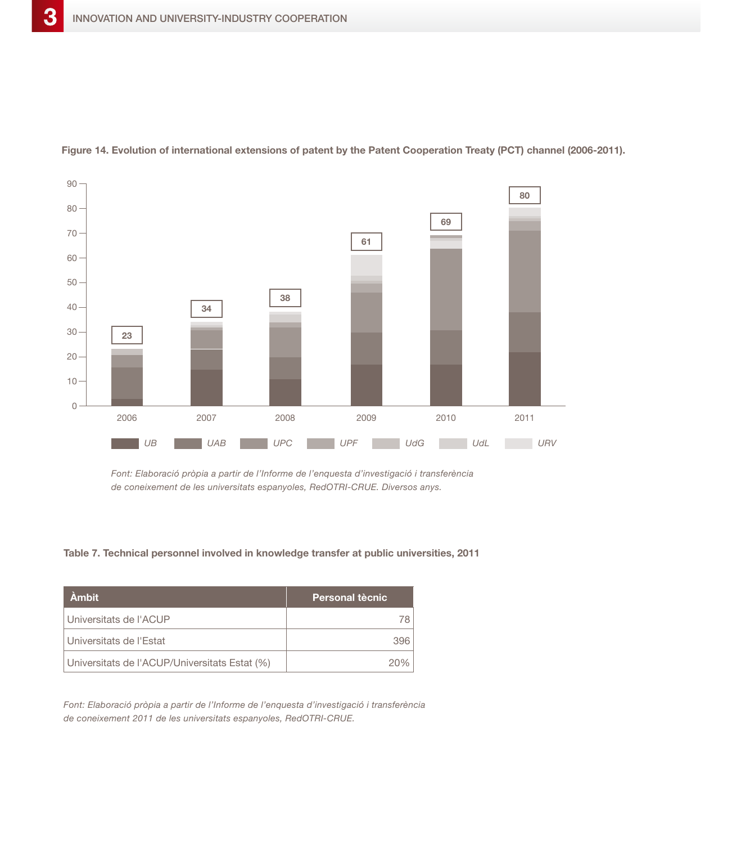

**Figure 14. Evolution of international extensions of patent by the Patent Cooperation Treaty (PCT) channel (2006-2011).**

*Font: Elaboració pròpia a partir de l'Informe de l'enquesta d'investigació i transferència de coneixement de les universitats espanyoles, RedOTRI-CRUE. Diversos anys.*

## **Table 7. Technical personnel involved in knowledge transfer at public universities, 2011**

| <b>Ambit</b>                                  | <b>Personal tècnic</b> |
|-----------------------------------------------|------------------------|
| l Universitats de l'ACUP                      | 78                     |
| Universitats de l'Estat                       | 396                    |
| Universitats de l'ACUP/Universitats Estat (%) | 20%                    |

*Font: Elaboració pròpia a partir de l'Informe de l'enquesta d'investigació i transferència de coneixement 2011 de les universitats espanyoles, RedOTRI-CRUE.*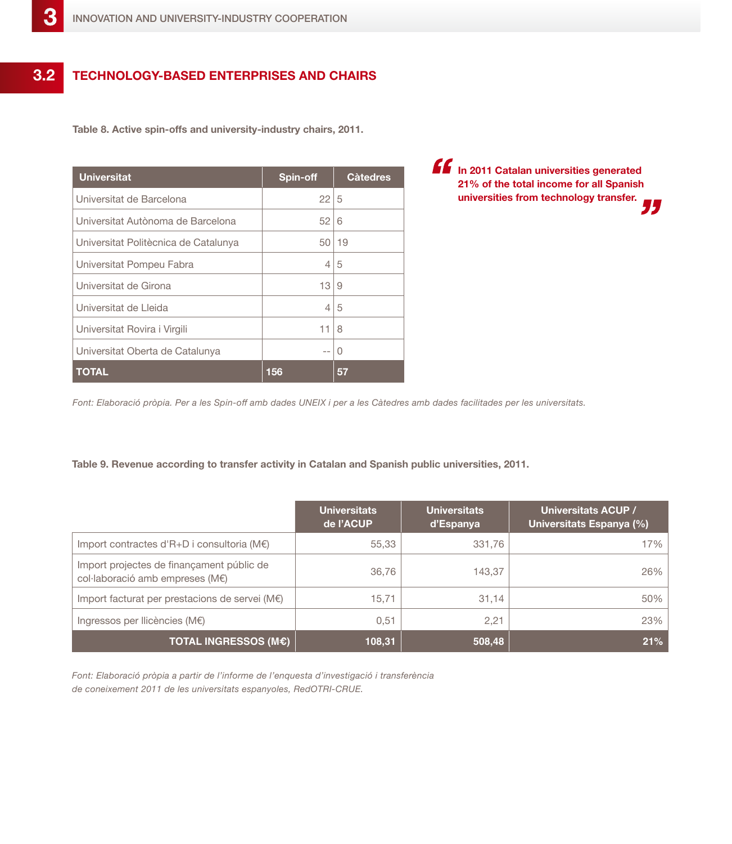## **Technology-based enterprises and chairs 3.2**

**Table 8. Active spin-offs and university-industry chairs, 2011.**

| <b>Universitat</b>                   | Spin-off | <b>C</b> àtedres |
|--------------------------------------|----------|------------------|
| Universitat de Barcelona             | 22       | 15               |
| Universitat Autònoma de Barcelona    | 52       | 6                |
| Universitat Politècnica de Catalunya | 50       | 19               |
| Universitat Pompeu Fabra             | 4        | 5                |
| Universitat de Girona                | 13       | 9                |
| Universitat de Lleida                | 4        | 5                |
| Universitat Rovira i Virgili         | 11       | 8                |
| Universitat Oberta de Catalunya      | $-$      | $\left($         |
| <b>TOTAL</b>                         | 156      | 57               |

**In 2011 Catalan universities generated 21% of the total income for all Spanish universities from technology transfer.**

*Font: Elaboració pròpia. Per a les Spin-off amb dades UNEIX i per a les Càtedres amb dades facilitades per les universitats.*

## **Table 9. Revenue according to transfer activity in Catalan and Spanish public universities, 2011.**

|                                                                              | <b>Universitats</b><br>de l'ACUP | <b>Universitats</b><br>d'Espanya | Universitats ACUP /<br>Universitats Espanya (%) |
|------------------------------------------------------------------------------|----------------------------------|----------------------------------|-------------------------------------------------|
| Import contractes d'R+D i consultoria (M€)                                   | 55,33                            | 331,76                           | 17%                                             |
| Import projectes de finançament públic de<br>col·laboració amb empreses (M€) | 36,76                            | 143,37                           | 26%                                             |
| Import facturat per prestacions de servei (M€)                               | 15.71                            | 31,14                            | 50%                                             |
| Ingressos per Ilicències (M€)                                                | 0,51                             | 2,21                             | 23%                                             |
| <b>TOTAL INGRESSOS (M€)</b>                                                  | 108,31                           | 508,48                           | 21%                                             |

*Font: Elaboració pròpia a partir de l'informe de l'enquesta d'investigació i transferència de coneixement 2011 de les universitats espanyoles, RedOTRI-CRUE.*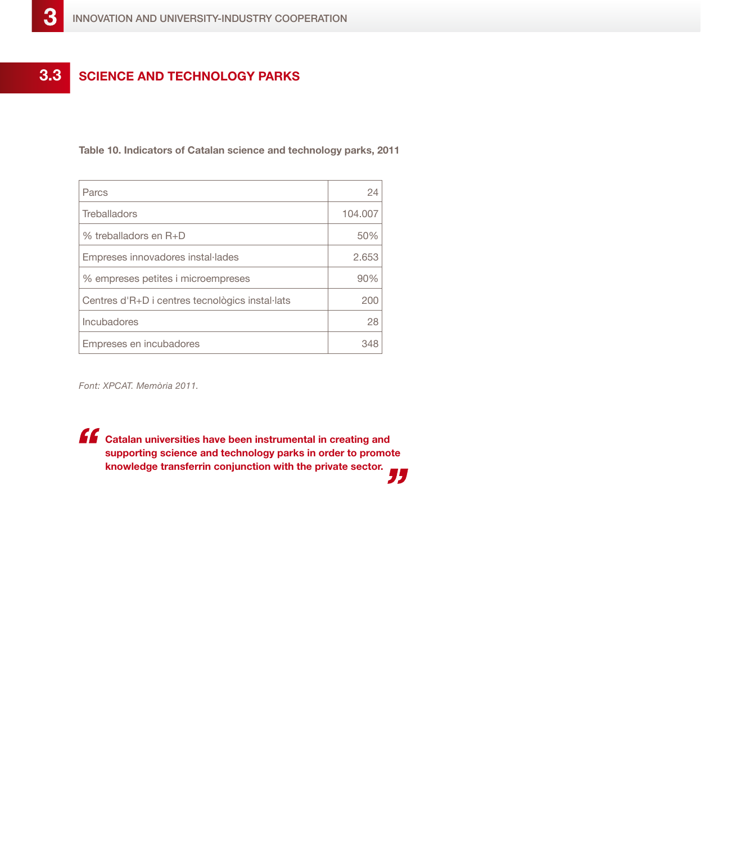

**Table 10. Indicators of Catalan science and technology parks, 2011**

| Parcs                                           | 24      |
|-------------------------------------------------|---------|
| Treballadors                                    | 104.007 |
| % treballadors en R+D                           | 50%     |
| Empreses innovadores instal·lades               | 2.653   |
| % empreses petites i microempreses              | 90%     |
| Centres d'R+D i centres tecnològics instal·lats | 200     |
| Incubadores                                     | 28      |
| Empreses en incubadores                         | 348     |

*Font: XPCAT. Memòria 2011.*

**Catalan universities have been instrumental in creating and supporting science and technology parks in order to promote knowledge transferrin conjunction with the private sector.** 75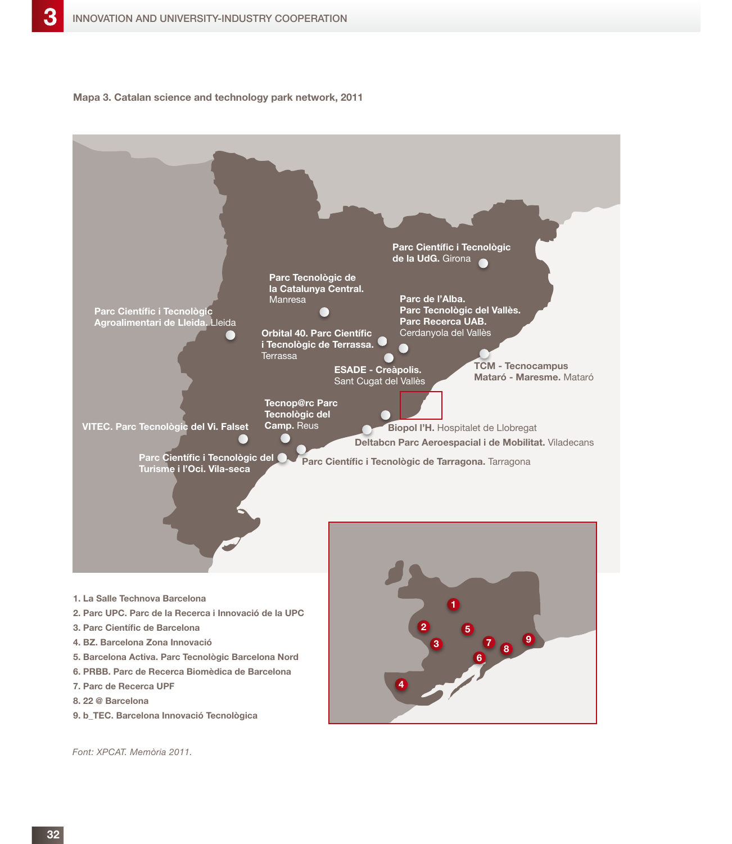**Mapa 3. Catalan science and technology park network, 2011**



*Font: XPCAT. Memòria 2011.*